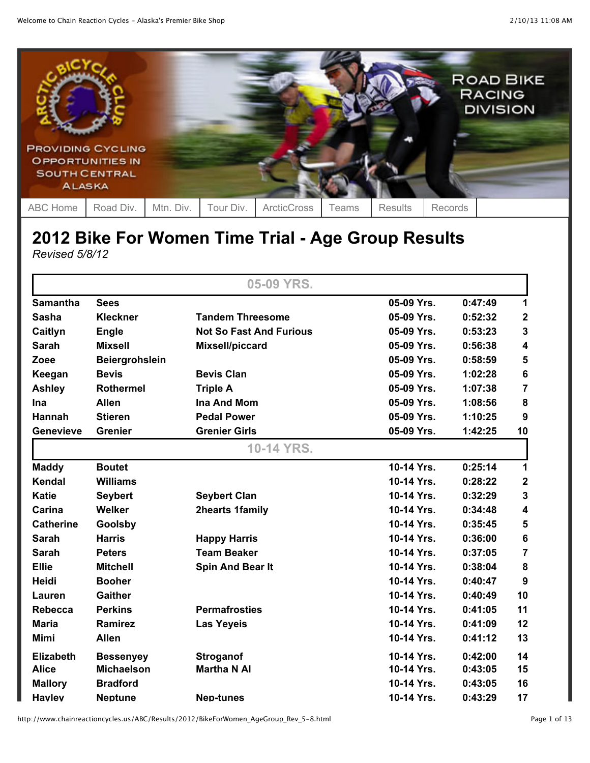

## **2012 Bike For Women Time Trial - Age Group Results** *Revised 5/8/12*

|                  |                       | 05-09 YRS.                     |            |         |                         |
|------------------|-----------------------|--------------------------------|------------|---------|-------------------------|
| <b>Samantha</b>  | <b>Sees</b>           |                                | 05-09 Yrs. | 0:47:49 | 1                       |
| <b>Sasha</b>     | <b>Kleckner</b>       | <b>Tandem Threesome</b>        | 05-09 Yrs. | 0:52:32 | $\mathbf{2}$            |
| Caitlyn          | <b>Engle</b>          | <b>Not So Fast And Furious</b> | 05-09 Yrs. | 0:53:23 | 3                       |
| <b>Sarah</b>     | <b>Mixsell</b>        | Mixsell/piccard                | 05-09 Yrs. | 0:56:38 | 4                       |
| Zoee             | <b>Beiergrohslein</b> |                                | 05-09 Yrs. | 0:58:59 | 5                       |
| Keegan           | <b>Bevis</b>          | <b>Bevis Clan</b>              | 05-09 Yrs. | 1:02:28 | $\bf 6$                 |
| <b>Ashley</b>    | <b>Rothermel</b>      | <b>Triple A</b>                | 05-09 Yrs. | 1:07:38 | $\overline{7}$          |
| Ina              | <b>Allen</b>          | <b>Ina And Mom</b>             | 05-09 Yrs. | 1:08:56 | 8                       |
| <b>Hannah</b>    | <b>Stieren</b>        | <b>Pedal Power</b>             | 05-09 Yrs. | 1:10:25 | 9                       |
| <b>Genevieve</b> | <b>Grenier</b>        | <b>Grenier Girls</b>           | 05-09 Yrs. | 1:42:25 | 10                      |
|                  |                       | 10-14 YRS.                     |            |         |                         |
| <b>Maddy</b>     | <b>Boutet</b>         |                                | 10-14 Yrs. | 0:25:14 | 1                       |
| Kendal           | <b>Williams</b>       |                                | 10-14 Yrs. | 0:28:22 | $\mathbf{2}$            |
| <b>Katie</b>     | <b>Seybert</b>        | <b>Seybert Clan</b>            | 10-14 Yrs. | 0:32:29 | 3                       |
| Carina           | Welker                | 2hearts 1family                | 10-14 Yrs. | 0:34:48 | $\overline{\mathbf{4}}$ |
| <b>Catherine</b> | Goolsby               |                                | 10-14 Yrs. | 0:35:45 | 5                       |
| <b>Sarah</b>     | <b>Harris</b>         | <b>Happy Harris</b>            | 10-14 Yrs. | 0:36:00 | $\bf 6$                 |
| <b>Sarah</b>     | <b>Peters</b>         | <b>Team Beaker</b>             | 10-14 Yrs. | 0:37:05 | $\overline{7}$          |
| <b>Ellie</b>     | <b>Mitchell</b>       | Spin And Bear It               | 10-14 Yrs. | 0:38:04 | 8                       |
| <b>Heidi</b>     | <b>Booher</b>         |                                | 10-14 Yrs. | 0:40:47 | 9                       |
| Lauren           | <b>Gaither</b>        |                                | 10-14 Yrs. | 0:40:49 | 10                      |
| <b>Rebecca</b>   | <b>Perkins</b>        | <b>Permafrosties</b>           | 10-14 Yrs. | 0:41:05 | 11                      |
| <b>Maria</b>     | <b>Ramirez</b>        | <b>Las Yeyeis</b>              | 10-14 Yrs. | 0:41:09 | 12                      |
| <b>Mimi</b>      | <b>Allen</b>          |                                | 10-14 Yrs. | 0:41:12 | 13                      |
| <b>Elizabeth</b> | <b>Bessenyey</b>      | <b>Stroganof</b>               | 10-14 Yrs. | 0:42:00 | 14                      |
| <b>Alice</b>     | <b>Michaelson</b>     | <b>Martha N AI</b>             | 10-14 Yrs. | 0:43:05 | 15                      |
| <b>Mallory</b>   | <b>Bradford</b>       |                                | 10-14 Yrs. | 0:43:05 | 16                      |
| <b>Hayley</b>    | <b>Neptune</b>        | Nep-tunes                      | 10-14 Yrs. | 0:43:29 | 17                      |

http://www.chainreactioncycles.us/ABC/Results/2012/BikeForWomen\_AgeGroup\_Rev\_5-8.html Page 1 of 13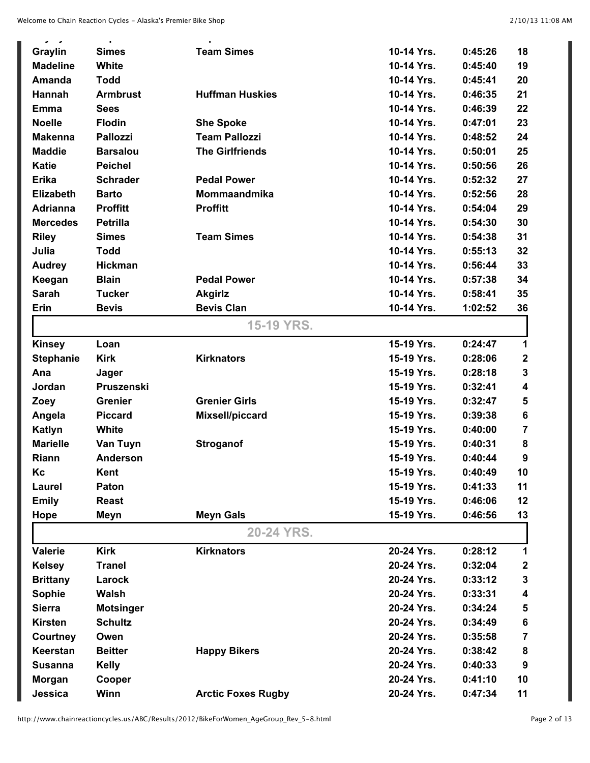| ن - ن<br>Graylin | <b>Simes</b>     | <b>Team Simes</b>         | 10-14 Yrs. | 0:45:26 | 18           |
|------------------|------------------|---------------------------|------------|---------|--------------|
| <b>Madeline</b>  | White            |                           | 10-14 Yrs. | 0:45:40 | 19           |
| <b>Amanda</b>    | <b>Todd</b>      |                           | 10-14 Yrs. | 0:45:41 | 20           |
| Hannah           | <b>Armbrust</b>  | <b>Huffman Huskies</b>    | 10-14 Yrs. | 0:46:35 | 21           |
| <b>Emma</b>      | <b>Sees</b>      |                           | 10-14 Yrs. | 0:46:39 | 22           |
| <b>Noelle</b>    | <b>Flodin</b>    | <b>She Spoke</b>          | 10-14 Yrs. | 0:47:01 | 23           |
| <b>Makenna</b>   | <b>Pallozzi</b>  | <b>Team Pallozzi</b>      | 10-14 Yrs. | 0:48:52 | 24           |
| <b>Maddie</b>    | <b>Barsalou</b>  | <b>The Girlfriends</b>    | 10-14 Yrs. | 0:50:01 | 25           |
| <b>Katie</b>     | <b>Peichel</b>   |                           | 10-14 Yrs. | 0:50:56 | 26           |
| <b>Erika</b>     | <b>Schrader</b>  | <b>Pedal Power</b>        | 10-14 Yrs. | 0:52:32 | 27           |
| <b>Elizabeth</b> | <b>Barto</b>     | Mommaandmika              | 10-14 Yrs. | 0:52:56 | 28           |
| <b>Adrianna</b>  | <b>Proffitt</b>  | <b>Proffitt</b>           | 10-14 Yrs. | 0:54:04 | 29           |
| <b>Mercedes</b>  | <b>Petrilla</b>  |                           | 10-14 Yrs. | 0:54:30 | 30           |
| <b>Riley</b>     | <b>Simes</b>     | <b>Team Simes</b>         | 10-14 Yrs. | 0:54:38 | 31           |
| Julia            | <b>Todd</b>      |                           | 10-14 Yrs. | 0:55:13 | 32           |
| <b>Audrey</b>    | <b>Hickman</b>   |                           | 10-14 Yrs. | 0:56:44 | 33           |
| Keegan           | <b>Blain</b>     | <b>Pedal Power</b>        | 10-14 Yrs. | 0:57:38 | 34           |
| <b>Sarah</b>     | <b>Tucker</b>    | <b>Akgirlz</b>            | 10-14 Yrs. | 0:58:41 | 35           |
| Erin             | <b>Bevis</b>     | <b>Bevis Clan</b>         | 10-14 Yrs. | 1:02:52 | 36           |
|                  |                  | <b>15-19 YRS.</b>         |            |         |              |
| <b>Kinsey</b>    | Loan             |                           | 15-19 Yrs. | 0:24:47 | 1            |
| <b>Stephanie</b> | <b>Kirk</b>      | <b>Kirknators</b>         | 15-19 Yrs. | 0:28:06 | $\mathbf{2}$ |
| Ana              | Jager            |                           | 15-19 Yrs. | 0:28:18 | 3            |
| Jordan           | Pruszenski       |                           | 15-19 Yrs. | 0:32:41 | 4            |
| Zoey             | <b>Grenier</b>   | <b>Grenier Girls</b>      | 15-19 Yrs. | 0:32:47 | 5            |
| Angela           | <b>Piccard</b>   | Mixsell/piccard           | 15-19 Yrs. | 0:39:38 | 6            |
| Katlyn           | White            |                           | 15-19 Yrs. | 0:40:00 | 7            |
| <b>Marielle</b>  | Van Tuyn         | <b>Stroganof</b>          | 15-19 Yrs. | 0:40:31 | 8            |
| Riann            | <b>Anderson</b>  |                           | 15-19 Yrs. | 0:40:44 | 9            |
| Kc               | Kent             |                           | 15-19 Yrs. | 0:40:49 | 10           |
| Laurel           | Paton            |                           | 15-19 Yrs. | 0:41:33 | 11           |
| <b>Emily</b>     | <b>Reast</b>     |                           | 15-19 Yrs. | 0:46:06 | 12           |
| Hope             | Meyn             | <b>Meyn Gals</b>          | 15-19 Yrs. | 0:46:56 | 13           |
|                  |                  | 20-24 YRS.                |            |         |              |
| <b>Valerie</b>   | <b>Kirk</b>      | <b>Kirknators</b>         | 20-24 Yrs. | 0:28:12 | 1            |
| <b>Kelsey</b>    | <b>Tranel</b>    |                           | 20-24 Yrs. | 0:32:04 | 2            |
| <b>Brittany</b>  | Larock           |                           | 20-24 Yrs. | 0:33:12 | 3            |
| Sophie           | Walsh            |                           | 20-24 Yrs. | 0:33:31 | 4            |
| <b>Sierra</b>    | <b>Motsinger</b> |                           | 20-24 Yrs. | 0:34:24 | 5            |
| <b>Kirsten</b>   | <b>Schultz</b>   |                           | 20-24 Yrs. | 0:34:49 | 6            |
| Courtney         | Owen             |                           | 20-24 Yrs. | 0:35:58 | 7            |
| Keerstan         | <b>Beitter</b>   | <b>Happy Bikers</b>       | 20-24 Yrs. | 0:38:42 | 8            |
| <b>Susanna</b>   | <b>Kelly</b>     |                           | 20-24 Yrs. | 0:40:33 | 9            |
| Morgan           | Cooper           |                           | 20-24 Yrs. | 0:41:10 | 10           |
| Jessica          | Winn             | <b>Arctic Foxes Rugby</b> | 20-24 Yrs. | 0:47:34 | 11           |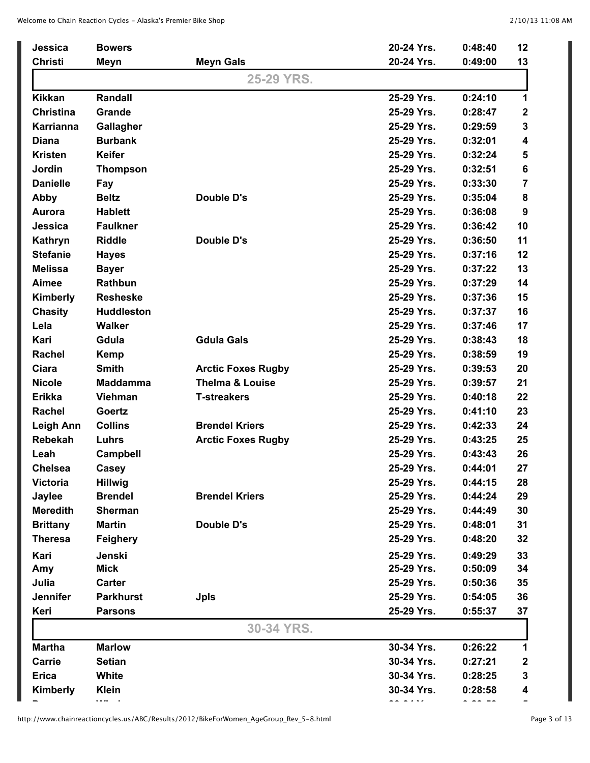| Jessica          | <b>Bowers</b>     |                            | 20-24 Yrs. | 0:48:40 | 12                      |
|------------------|-------------------|----------------------------|------------|---------|-------------------------|
| <b>Christi</b>   | Meyn              | <b>Meyn Gals</b>           | 20-24 Yrs. | 0:49:00 | 13                      |
|                  |                   | 25-29 YRS.                 |            |         |                         |
| <b>Kikkan</b>    | Randall           |                            | 25-29 Yrs. | 0:24:10 | 1                       |
| <b>Christina</b> | Grande            |                            | 25-29 Yrs. | 0:28:47 | $\boldsymbol{2}$        |
| Karrianna        | Gallagher         |                            | 25-29 Yrs. | 0:29:59 | $\mathbf{3}$            |
| <b>Diana</b>     | <b>Burbank</b>    |                            | 25-29 Yrs. | 0:32:01 | $\overline{\mathbf{4}}$ |
| <b>Kristen</b>   | <b>Keifer</b>     |                            | 25-29 Yrs. | 0:32:24 | ${\bf 5}$               |
| Jordin           | <b>Thompson</b>   |                            | 25-29 Yrs. | 0:32:51 | $\bf 6$                 |
| <b>Danielle</b>  | Fay               |                            | 25-29 Yrs. | 0:33:30 | $\overline{7}$          |
| <b>Abby</b>      | <b>Beltz</b>      | <b>Double D's</b>          | 25-29 Yrs. | 0:35:04 | 8                       |
| Aurora           | <b>Hablett</b>    |                            | 25-29 Yrs. | 0:36:08 | 9                       |
| Jessica          | <b>Faulkner</b>   |                            | 25-29 Yrs. | 0:36:42 | 10                      |
| Kathryn          | <b>Riddle</b>     | <b>Double D's</b>          | 25-29 Yrs. | 0:36:50 | 11                      |
| <b>Stefanie</b>  | <b>Hayes</b>      |                            | 25-29 Yrs. | 0:37:16 | 12                      |
| <b>Melissa</b>   | <b>Bayer</b>      |                            | 25-29 Yrs. | 0:37:22 | 13                      |
| Aimee            | Rathbun           |                            | 25-29 Yrs. | 0:37:29 | 14                      |
| Kimberly         | <b>Resheske</b>   |                            | 25-29 Yrs. | 0:37:36 | 15                      |
| <b>Chasity</b>   | <b>Huddleston</b> |                            | 25-29 Yrs. | 0:37:37 | 16                      |
| Lela             | <b>Walker</b>     |                            | 25-29 Yrs. | 0:37:46 | 17                      |
| Kari             | Gdula             | <b>Gdula Gals</b>          | 25-29 Yrs. | 0:38:43 | 18                      |
| Rachel           | Kemp              |                            | 25-29 Yrs. | 0:38:59 | 19                      |
| Ciara            | <b>Smith</b>      | <b>Arctic Foxes Rugby</b>  | 25-29 Yrs. | 0:39:53 | 20                      |
| <b>Nicole</b>    | <b>Maddamma</b>   | <b>Thelma &amp; Louise</b> | 25-29 Yrs. | 0:39:57 | 21                      |
| <b>Erikka</b>    | <b>Viehman</b>    | <b>T-streakers</b>         | 25-29 Yrs. | 0:40:18 | 22                      |
| Rachel           | Goertz            |                            | 25-29 Yrs. | 0:41:10 | 23                      |
| <b>Leigh Ann</b> | <b>Collins</b>    | <b>Brendel Kriers</b>      | 25-29 Yrs. | 0:42:33 | 24                      |
| <b>Rebekah</b>   | Luhrs             | <b>Arctic Foxes Rugby</b>  | 25-29 Yrs. | 0:43:25 | 25                      |
| Leah             | <b>Campbell</b>   |                            | 25-29 Yrs. | 0:43:43 | 26                      |
| <b>Chelsea</b>   | Casey             |                            | 25-29 Yrs. | 0:44:01 | 27                      |
| <b>Victoria</b>  | <b>Hillwig</b>    |                            | 25-29 Yrs. | 0:44:15 | 28                      |
| Jaylee           | <b>Brendel</b>    | <b>Brendel Kriers</b>      | 25-29 Yrs. | 0:44:24 | 29                      |
| <b>Meredith</b>  | <b>Sherman</b>    |                            | 25-29 Yrs. | 0:44:49 | 30                      |
| <b>Brittany</b>  | <b>Martin</b>     | Double D's                 | 25-29 Yrs. | 0:48:01 | 31                      |
| <b>Theresa</b>   | Feighery          |                            | 25-29 Yrs. | 0:48:20 | 32                      |
| Kari             | Jenski            |                            | 25-29 Yrs. | 0:49:29 | 33                      |
| Amy              | <b>Mick</b>       |                            | 25-29 Yrs. | 0:50:09 | 34                      |
| Julia            | Carter            |                            | 25-29 Yrs. | 0:50:36 | 35                      |
| Jennifer         | <b>Parkhurst</b>  | <b>Jpls</b>                | 25-29 Yrs. | 0:54:05 | 36                      |
| Keri             | <b>Parsons</b>    |                            | 25-29 Yrs. | 0:55:37 | 37                      |
|                  |                   | 30-34 YRS.                 |            |         |                         |
| <b>Martha</b>    | <b>Marlow</b>     |                            | 30-34 Yrs. | 0:26:22 | 1                       |
| <b>Carrie</b>    | <b>Setian</b>     |                            | 30-34 Yrs. | 0:27:21 | $\boldsymbol{2}$        |
| <b>Erica</b>     | White             |                            | 30-34 Yrs. | 0:28:25 | 3                       |
| Kimberly         | <b>Klein</b>      |                            | 30-34 Yrs. | 0:28:58 | 4                       |
|                  | $\cdots$          |                            | -- - - - - | - -- -- |                         |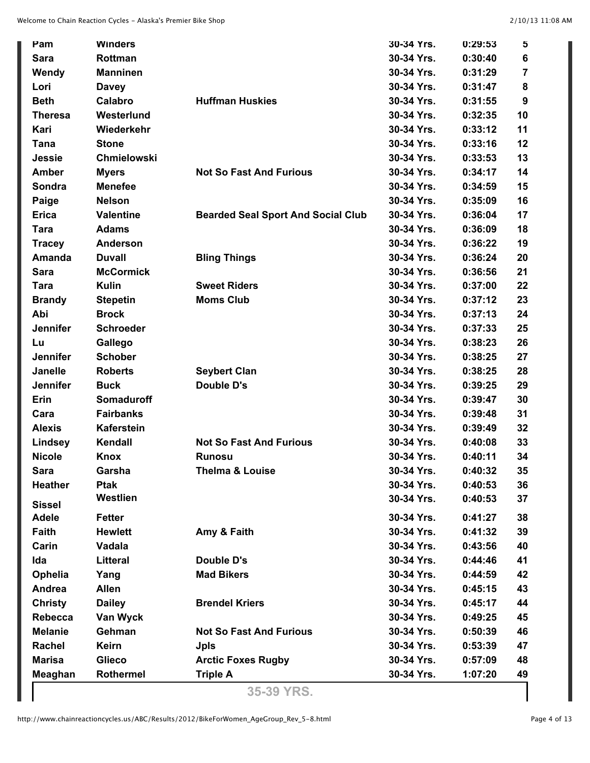| Pam             | <b>Winders</b>     |                                           | 30-34 Yrs. | 0:29:53 | 5  |
|-----------------|--------------------|-------------------------------------------|------------|---------|----|
| <b>Sara</b>     | Rottman            |                                           | 30-34 Yrs. | 0:30:40 | 6  |
| Wendy           | <b>Manninen</b>    |                                           | 30-34 Yrs. | 0:31:29 | 7  |
| Lori            | <b>Davey</b>       |                                           | 30-34 Yrs. | 0:31:47 | 8  |
| <b>Beth</b>     | Calabro            | <b>Huffman Huskies</b>                    | 30-34 Yrs. | 0:31:55 | 9  |
| <b>Theresa</b>  | Westerlund         |                                           | 30-34 Yrs. | 0:32:35 | 10 |
| Kari            | Wiederkehr         |                                           | 30-34 Yrs. | 0:33:12 | 11 |
| Tana            | <b>Stone</b>       |                                           | 30-34 Yrs. | 0:33:16 | 12 |
| <b>Jessie</b>   | <b>Chmielowski</b> |                                           | 30-34 Yrs. | 0:33:53 | 13 |
| <b>Amber</b>    | <b>Myers</b>       | <b>Not So Fast And Furious</b>            | 30-34 Yrs. | 0:34:17 | 14 |
| Sondra          | <b>Menefee</b>     |                                           | 30-34 Yrs. | 0:34:59 | 15 |
| Paige           | <b>Nelson</b>      |                                           | 30-34 Yrs. | 0:35:09 | 16 |
| <b>Erica</b>    | <b>Valentine</b>   | <b>Bearded Seal Sport And Social Club</b> | 30-34 Yrs. | 0:36:04 | 17 |
| <b>Tara</b>     | <b>Adams</b>       |                                           | 30-34 Yrs. | 0:36:09 | 18 |
| <b>Tracey</b>   | <b>Anderson</b>    |                                           | 30-34 Yrs. | 0:36:22 | 19 |
| <b>Amanda</b>   | <b>Duvall</b>      | <b>Bling Things</b>                       | 30-34 Yrs. | 0:36:24 | 20 |
| Sara            | <b>McCormick</b>   |                                           | 30-34 Yrs. | 0:36:56 | 21 |
| <b>Tara</b>     | <b>Kulin</b>       | <b>Sweet Riders</b>                       | 30-34 Yrs. | 0:37:00 | 22 |
| <b>Brandy</b>   | <b>Stepetin</b>    | <b>Moms Club</b>                          | 30-34 Yrs. | 0:37:12 | 23 |
| Abi             | <b>Brock</b>       |                                           | 30-34 Yrs. | 0:37:13 | 24 |
| <b>Jennifer</b> | <b>Schroeder</b>   |                                           | 30-34 Yrs. | 0:37:33 | 25 |
| Lu              | Gallego            |                                           | 30-34 Yrs. | 0:38:23 | 26 |
| <b>Jennifer</b> | <b>Schober</b>     |                                           | 30-34 Yrs. | 0:38:25 | 27 |
| <b>Janelle</b>  | <b>Roberts</b>     | <b>Seybert Clan</b>                       | 30-34 Yrs. | 0:38:25 | 28 |
| <b>Jennifer</b> | <b>Buck</b>        | <b>Double D's</b>                         | 30-34 Yrs. | 0:39:25 | 29 |
| Erin            | <b>Somaduroff</b>  |                                           | 30-34 Yrs. | 0:39:47 | 30 |
| Cara            | <b>Fairbanks</b>   |                                           | 30-34 Yrs. | 0:39:48 | 31 |
| <b>Alexis</b>   | <b>Kaferstein</b>  |                                           | 30-34 Yrs. | 0:39:49 | 32 |
| Lindsey         | Kendall            | <b>Not So Fast And Furious</b>            | 30-34 Yrs. | 0:40:08 | 33 |
| <b>Nicole</b>   | <b>Knox</b>        | <b>Runosu</b>                             | 30-34 Yrs. | 0:40:11 | 34 |
| <b>Sara</b>     | Garsha             | Thelma & Louise                           | 30-34 Yrs. | 0:40:32 | 35 |
| <b>Heather</b>  | <b>Ptak</b>        |                                           | 30-34 Yrs. | 0:40:53 | 36 |
| <b>Sissel</b>   | Westlien           |                                           | 30-34 Yrs. | 0:40:53 | 37 |
| <b>Adele</b>    | <b>Fetter</b>      |                                           | 30-34 Yrs. | 0:41:27 | 38 |
| Faith           | <b>Hewlett</b>     | Amy & Faith                               | 30-34 Yrs. | 0:41:32 | 39 |
| Carin           | Vadala             |                                           | 30-34 Yrs. | 0:43:56 | 40 |
| Ida             | <b>Litteral</b>    | Double D's                                | 30-34 Yrs. | 0:44:46 | 41 |
| Ophelia         | Yang               | <b>Mad Bikers</b>                         | 30-34 Yrs. | 0:44:59 | 42 |
| Andrea          | <b>Allen</b>       |                                           | 30-34 Yrs. | 0:45:15 | 43 |
| <b>Christy</b>  | <b>Dailey</b>      | <b>Brendel Kriers</b>                     | 30-34 Yrs. | 0:45:17 | 44 |
| <b>Rebecca</b>  | Van Wyck           |                                           | 30-34 Yrs. | 0:49:25 | 45 |
| <b>Melanie</b>  | Gehman             | <b>Not So Fast And Furious</b>            | 30-34 Yrs. | 0:50:39 | 46 |
| Rachel          | <b>Keirn</b>       |                                           | 30-34 Yrs. | 0:53:39 | 47 |
| <b>Marisa</b>   | <b>Glieco</b>      | <b>Jpls</b>                               |            |         |    |
|                 |                    | <b>Arctic Foxes Rugby</b>                 | 30-34 Yrs. | 0:57:09 | 48 |
| Meaghan         | Rothermel          | <b>Triple A</b>                           | 30-34 Yrs. | 1:07:20 | 49 |

**35-39 YRS.**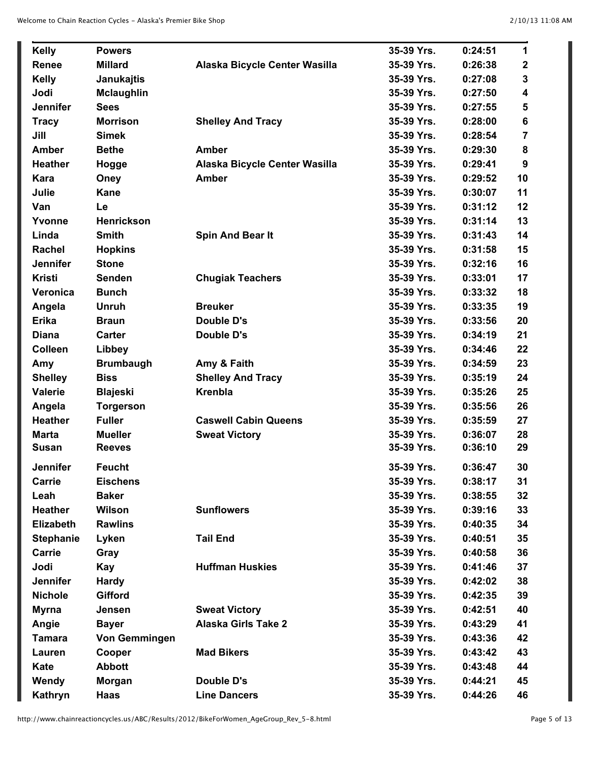| <b>Kelly</b>     | <b>Powers</b>        |                               | 35-39 Yrs. | 0:24:51 | 1              |
|------------------|----------------------|-------------------------------|------------|---------|----------------|
| Renee            | <b>Millard</b>       | Alaska Bicycle Center Wasilla | 35-39 Yrs. | 0:26:38 | $\mathbf 2$    |
| <b>Kelly</b>     | Janukajtis           |                               | 35-39 Yrs. | 0:27:08 | 3              |
| Jodi             | <b>Mclaughlin</b>    |                               | 35-39 Yrs. | 0:27:50 | 4              |
| <b>Jennifer</b>  | <b>Sees</b>          |                               | 35-39 Yrs. | 0:27:55 | 5              |
| <b>Tracy</b>     | <b>Morrison</b>      | <b>Shelley And Tracy</b>      | 35-39 Yrs. | 0:28:00 | 6              |
| Jill             | <b>Simek</b>         |                               | 35-39 Yrs. | 0:28:54 | $\overline{7}$ |
| <b>Amber</b>     | <b>Bethe</b>         | <b>Amber</b>                  | 35-39 Yrs. | 0:29:30 | 8              |
| <b>Heather</b>   | Hogge                | Alaska Bicycle Center Wasilla | 35-39 Yrs. | 0:29:41 | 9              |
| Kara             | Oney                 | <b>Amber</b>                  | 35-39 Yrs. | 0:29:52 | 10             |
| Julie            | <b>Kane</b>          |                               | 35-39 Yrs. | 0:30:07 | 11             |
| Van              | Le                   |                               | 35-39 Yrs. | 0:31:12 | 12             |
| Yvonne           | <b>Henrickson</b>    |                               | 35-39 Yrs. | 0:31:14 | 13             |
| Linda            | <b>Smith</b>         | <b>Spin And Bear It</b>       | 35-39 Yrs. | 0:31:43 | 14             |
| <b>Rachel</b>    | <b>Hopkins</b>       |                               | 35-39 Yrs. | 0:31:58 | 15             |
| <b>Jennifer</b>  | <b>Stone</b>         |                               | 35-39 Yrs. | 0:32:16 | 16             |
| <b>Kristi</b>    | <b>Senden</b>        | <b>Chugiak Teachers</b>       | 35-39 Yrs. | 0:33:01 | 17             |
| Veronica         | <b>Bunch</b>         |                               | 35-39 Yrs. | 0:33:32 | 18             |
| Angela           | <b>Unruh</b>         | <b>Breuker</b>                | 35-39 Yrs. | 0:33:35 | 19             |
| <b>Erika</b>     | <b>Braun</b>         | <b>Double D's</b>             | 35-39 Yrs. | 0:33:56 | 20             |
| <b>Diana</b>     | <b>Carter</b>        | Double D's                    | 35-39 Yrs. | 0:34:19 | 21             |
| <b>Colleen</b>   | Libbey               |                               | 35-39 Yrs. | 0:34:46 | 22             |
| Amy              | <b>Brumbaugh</b>     | Amy & Faith                   | 35-39 Yrs. | 0:34:59 | 23             |
| <b>Shelley</b>   | <b>Biss</b>          | <b>Shelley And Tracy</b>      | 35-39 Yrs. | 0:35:19 | 24             |
| Valerie          | <b>Blajeski</b>      | <b>Krenbla</b>                | 35-39 Yrs. | 0:35:26 | 25             |
| Angela           | <b>Torgerson</b>     |                               | 35-39 Yrs. | 0:35:56 | 26             |
| <b>Heather</b>   | <b>Fuller</b>        | <b>Caswell Cabin Queens</b>   | 35-39 Yrs. | 0:35:59 | 27             |
| <b>Marta</b>     | <b>Mueller</b>       | <b>Sweat Victory</b>          | 35-39 Yrs. | 0:36:07 | 28             |
| <b>Susan</b>     | <b>Reeves</b>        |                               | 35-39 Yrs. | 0:36:10 | 29             |
| <b>Jennifer</b>  | <b>Feucht</b>        |                               | 35-39 Yrs. | 0:36:47 | 30             |
| Carrie           | <b>Eischens</b>      |                               | 35-39 Yrs. | 0:38:17 | 31             |
| Leah             | <b>Baker</b>         |                               | 35-39 Yrs. | 0:38:55 | 32             |
| <b>Heather</b>   | Wilson               | <b>Sunflowers</b>             | 35-39 Yrs. | 0:39:16 | 33             |
| <b>Elizabeth</b> | <b>Rawlins</b>       |                               | 35-39 Yrs. | 0:40:35 | 34             |
| <b>Stephanie</b> | Lyken                | <b>Tail End</b>               | 35-39 Yrs. | 0:40:51 | 35             |
| Carrie           | Gray                 |                               | 35-39 Yrs. | 0:40:58 | 36             |
| Jodi             | <b>Kay</b>           | <b>Huffman Huskies</b>        | 35-39 Yrs. | 0:41:46 | 37             |
| <b>Jennifer</b>  | <b>Hardy</b>         |                               | 35-39 Yrs. | 0:42:02 | 38             |
| <b>Nichole</b>   | <b>Gifford</b>       |                               | 35-39 Yrs. | 0:42:35 | 39             |
| <b>Myrna</b>     | Jensen               | <b>Sweat Victory</b>          | 35-39 Yrs. | 0:42:51 | 40             |
| Angie            | <b>Bayer</b>         | <b>Alaska Girls Take 2</b>    | 35-39 Yrs. | 0:43:29 | 41             |
| <b>Tamara</b>    | <b>Von Gemmingen</b> |                               | 35-39 Yrs. | 0:43:36 | 42             |
| Lauren           | Cooper               | <b>Mad Bikers</b>             | 35-39 Yrs. | 0:43:42 | 43             |
| Kate             | <b>Abbott</b>        |                               | 35-39 Yrs. | 0:43:48 | 44             |
| Wendy            | <b>Morgan</b>        | Double D's                    | 35-39 Yrs. | 0:44:21 | 45             |
| Kathryn          | Haas                 | <b>Line Dancers</b>           | 35-39 Yrs. | 0:44:26 | 46             |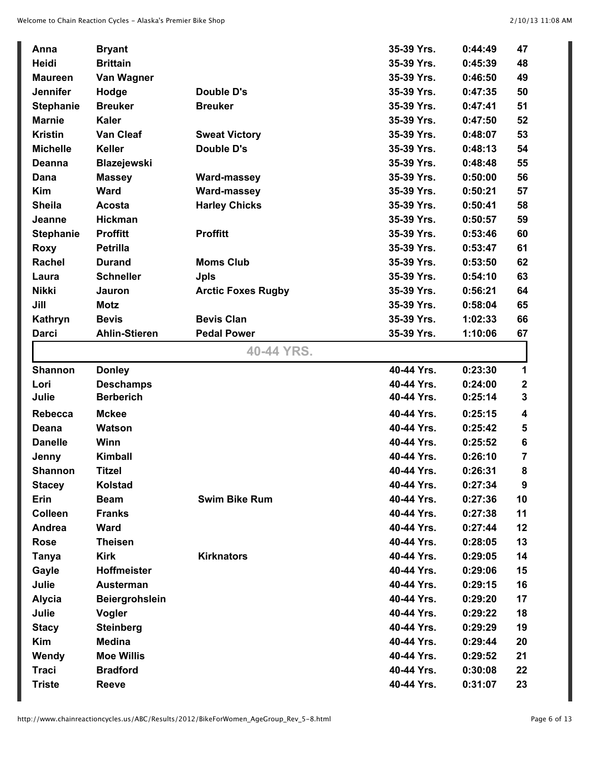| Anna             | <b>Bryant</b>         |                           | 35-39 Yrs. | 0:44:49 | 47               |
|------------------|-----------------------|---------------------------|------------|---------|------------------|
| Heidi            | <b>Brittain</b>       |                           | 35-39 Yrs. | 0:45:39 | 48               |
| <b>Maureen</b>   | Van Wagner            |                           | 35-39 Yrs. | 0:46:50 | 49               |
| <b>Jennifer</b>  | Hodge                 | Double D's                | 35-39 Yrs. | 0:47:35 | 50               |
| <b>Stephanie</b> | <b>Breuker</b>        | <b>Breuker</b>            | 35-39 Yrs. | 0:47:41 | 51               |
| <b>Marnie</b>    | <b>Kaler</b>          |                           | 35-39 Yrs. | 0:47:50 | 52               |
| <b>Kristin</b>   | <b>Van Cleaf</b>      | <b>Sweat Victory</b>      | 35-39 Yrs. | 0:48:07 | 53               |
| <b>Michelle</b>  | <b>Keller</b>         | Double D's                | 35-39 Yrs. | 0:48:13 | 54               |
| <b>Deanna</b>    | <b>Blazejewski</b>    |                           | 35-39 Yrs. | 0:48:48 | 55               |
| Dana             | <b>Massey</b>         | <b>Ward-massey</b>        | 35-39 Yrs. | 0:50:00 | 56               |
| <b>Kim</b>       | <b>Ward</b>           | <b>Ward-massey</b>        | 35-39 Yrs. | 0:50:21 | 57               |
| <b>Sheila</b>    | <b>Acosta</b>         | <b>Harley Chicks</b>      | 35-39 Yrs. | 0:50:41 | 58               |
| Jeanne           | <b>Hickman</b>        |                           | 35-39 Yrs. | 0:50:57 | 59               |
| <b>Stephanie</b> | <b>Proffitt</b>       | <b>Proffitt</b>           | 35-39 Yrs. | 0:53:46 | 60               |
| <b>Roxy</b>      | <b>Petrilla</b>       |                           | 35-39 Yrs. | 0:53:47 | 61               |
| <b>Rachel</b>    | <b>Durand</b>         | <b>Moms Club</b>          | 35-39 Yrs. | 0:53:50 | 62               |
| Laura            | <b>Schneller</b>      | <b>Jpls</b>               | 35-39 Yrs. | 0:54:10 | 63               |
| <b>Nikki</b>     | Jauron                | <b>Arctic Foxes Rugby</b> | 35-39 Yrs. | 0:56:21 | 64               |
| Jill             | Motz                  |                           | 35-39 Yrs. | 0:58:04 | 65               |
| Kathryn          | <b>Bevis</b>          | <b>Bevis Clan</b>         | 35-39 Yrs. | 1:02:33 | 66               |
| <b>Darci</b>     | <b>Ahlin-Stieren</b>  | <b>Pedal Power</b>        | 35-39 Yrs. | 1:10:06 | 67               |
|                  |                       | 40-44 YRS.                |            |         |                  |
| <b>Shannon</b>   | <b>Donley</b>         |                           | 40-44 Yrs. | 0:23:30 | 1                |
| Lori             | <b>Deschamps</b>      |                           | 40-44 Yrs. | 0:24:00 | $\boldsymbol{2}$ |
| Julie            | <b>Berberich</b>      |                           | 40-44 Yrs. | 0:25:14 | $\mathbf{3}$     |
| Rebecca          | <b>Mckee</b>          |                           | 40-44 Yrs. | 0:25:15 | 4                |
| Deana            | <b>Watson</b>         |                           | 40-44 Yrs. | 0:25:42 | 5                |
| <b>Danelle</b>   | Winn                  |                           | 40-44 Yrs. | 0:25:52 | $\bf 6$          |
| Jenny            | <b>Kimball</b>        |                           | 40-44 Yrs. | 0:26:10 | 7                |
| <b>Shannon</b>   | <b>Titzel</b>         |                           | 40-44 Yrs. | 0:26:31 | 8                |
| <b>Stacey</b>    | <b>Kolstad</b>        |                           | 40-44 Yrs. | 0:27:34 | 9                |
| Erin             | <b>Beam</b>           | <b>Swim Bike Rum</b>      | 40-44 Yrs. | 0:27:36 | 10               |
| <b>Colleen</b>   | <b>Franks</b>         |                           | 40-44 Yrs. | 0:27:38 | 11               |
| Andrea           | <b>Ward</b>           |                           | 40-44 Yrs. | 0:27:44 | 12               |
| <b>Rose</b>      | <b>Theisen</b>        |                           | 40-44 Yrs. | 0:28:05 | 13               |
| <b>Tanya</b>     | <b>Kirk</b>           | <b>Kirknators</b>         | 40-44 Yrs. | 0:29:05 | 14               |
| Gayle            | <b>Hoffmeister</b>    |                           | 40-44 Yrs. | 0:29:06 | 15               |
| Julie            | <b>Austerman</b>      |                           | 40-44 Yrs. | 0:29:15 | 16               |
| <b>Alycia</b>    | <b>Beiergrohslein</b> |                           | 40-44 Yrs. | 0:29:20 | 17               |
| Julie            | Vogler                |                           | 40-44 Yrs. | 0:29:22 | 18               |
| <b>Stacy</b>     | <b>Steinberg</b>      |                           | 40-44 Yrs. | 0:29:29 | 19               |
| <b>Kim</b>       | <b>Medina</b>         |                           | 40-44 Yrs. | 0:29:44 | 20               |
| Wendy            | <b>Moe Willis</b>     |                           | 40-44 Yrs. | 0:29:52 | 21               |
| <b>Traci</b>     | <b>Bradford</b>       |                           | 40-44 Yrs. | 0:30:08 | 22               |
|                  | <b>Reeve</b>          |                           | 40-44 Yrs. | 0:31:07 | 23               |
| <b>Triste</b>    |                       |                           |            |         |                  |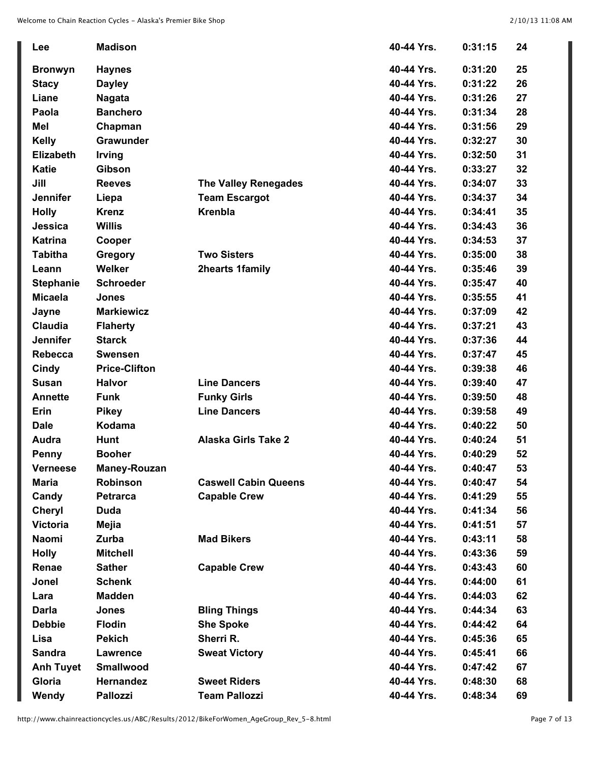| Lee              | <b>Madison</b>       |                             | 40-44 Yrs. | 0:31:15 | 24 |
|------------------|----------------------|-----------------------------|------------|---------|----|
| <b>Bronwyn</b>   | <b>Haynes</b>        |                             | 40-44 Yrs. | 0:31:20 | 25 |
| <b>Stacy</b>     | <b>Dayley</b>        |                             | 40-44 Yrs. | 0:31:22 | 26 |
| Liane            | <b>Nagata</b>        |                             | 40-44 Yrs. | 0:31:26 | 27 |
| Paola            | <b>Banchero</b>      |                             | 40-44 Yrs. | 0:31:34 | 28 |
| <b>Mel</b>       | Chapman              |                             | 40-44 Yrs. | 0:31:56 | 29 |
| <b>Kelly</b>     | Grawunder            |                             | 40-44 Yrs. | 0:32:27 | 30 |
| <b>Elizabeth</b> | <b>Irving</b>        |                             | 40-44 Yrs. | 0:32:50 | 31 |
| <b>Katie</b>     | Gibson               |                             | 40-44 Yrs. | 0:33:27 | 32 |
| Jill             | <b>Reeves</b>        | <b>The Valley Renegades</b> | 40-44 Yrs. | 0:34:07 | 33 |
| <b>Jennifer</b>  | Liepa                | <b>Team Escargot</b>        | 40-44 Yrs. | 0:34:37 | 34 |
| <b>Holly</b>     | <b>Krenz</b>         | <b>Krenbla</b>              | 40-44 Yrs. | 0:34:41 | 35 |
| Jessica          | <b>Willis</b>        |                             | 40-44 Yrs. | 0:34:43 | 36 |
| <b>Katrina</b>   | Cooper               |                             | 40-44 Yrs. | 0:34:53 | 37 |
| <b>Tabitha</b>   | Gregory              | <b>Two Sisters</b>          | 40-44 Yrs. | 0:35:00 | 38 |
| Leann            | <b>Welker</b>        | <b>2hearts 1family</b>      | 40-44 Yrs. | 0:35:46 | 39 |
| <b>Stephanie</b> | <b>Schroeder</b>     |                             | 40-44 Yrs. | 0:35:47 | 40 |
| <b>Micaela</b>   | Jones                |                             | 40-44 Yrs. | 0:35:55 | 41 |
| Jayne            | <b>Markiewicz</b>    |                             | 40-44 Yrs. | 0:37:09 | 42 |
| <b>Claudia</b>   | <b>Flaherty</b>      |                             | 40-44 Yrs. | 0:37:21 | 43 |
| <b>Jennifer</b>  | <b>Starck</b>        |                             | 40-44 Yrs. | 0:37:36 | 44 |
| <b>Rebecca</b>   | <b>Swensen</b>       |                             | 40-44 Yrs. | 0:37:47 | 45 |
| Cindy            | <b>Price-Clifton</b> |                             | 40-44 Yrs. | 0:39:38 | 46 |
| <b>Susan</b>     | <b>Halvor</b>        | <b>Line Dancers</b>         | 40-44 Yrs. | 0:39:40 | 47 |
| <b>Annette</b>   | <b>Funk</b>          | <b>Funky Girls</b>          | 40-44 Yrs. | 0:39:50 | 48 |
| Erin             | <b>Pikey</b>         | <b>Line Dancers</b>         | 40-44 Yrs. | 0:39:58 | 49 |
| <b>Dale</b>      | <b>Kodama</b>        |                             | 40-44 Yrs. | 0:40:22 | 50 |
| <b>Audra</b>     | <b>Hunt</b>          | <b>Alaska Girls Take 2</b>  | 40-44 Yrs. | 0:40:24 | 51 |
| <b>Penny</b>     | <b>Booher</b>        |                             | 40-44 Yrs. | 0:40:29 | 52 |
| <b>Verneese</b>  | Maney-Rouzan         |                             | 40-44 Yrs. | 0:40:47 | 53 |
| Maria            | <b>Robinson</b>      | <b>Caswell Cabin Queens</b> | 40-44 Yrs. | 0:40:47 | 54 |
| Candy            | <b>Petrarca</b>      | <b>Capable Crew</b>         | 40-44 Yrs. | 0:41:29 | 55 |
| <b>Cheryl</b>    | <b>Duda</b>          |                             | 40-44 Yrs. | 0:41:34 | 56 |
| <b>Victoria</b>  | Mejia                |                             | 40-44 Yrs. | 0:41:51 | 57 |
| Naomi            | Zurba                | <b>Mad Bikers</b>           | 40-44 Yrs. | 0:43:11 | 58 |
| <b>Holly</b>     | <b>Mitchell</b>      |                             | 40-44 Yrs. | 0:43:36 | 59 |
| Renae            | <b>Sather</b>        | <b>Capable Crew</b>         | 40-44 Yrs. | 0:43:43 | 60 |
| Jonel            | <b>Schenk</b>        |                             | 40-44 Yrs. | 0:44:00 | 61 |
| Lara             | <b>Madden</b>        |                             | 40-44 Yrs. | 0:44:03 | 62 |
| <b>Darla</b>     | <b>Jones</b>         | <b>Bling Things</b>         | 40-44 Yrs. | 0:44:34 | 63 |
| <b>Debbie</b>    | <b>Flodin</b>        | <b>She Spoke</b>            | 40-44 Yrs. | 0:44:42 | 64 |
| Lisa             | <b>Pekich</b>        | Sherri R.                   | 40-44 Yrs. | 0:45:36 | 65 |
| <b>Sandra</b>    | <b>Lawrence</b>      | <b>Sweat Victory</b>        | 40-44 Yrs. | 0:45:41 | 66 |
| <b>Anh Tuyet</b> | <b>Smallwood</b>     |                             | 40-44 Yrs. | 0:47:42 | 67 |
| Gloria           | Hernandez            | <b>Sweet Riders</b>         | 40-44 Yrs. | 0:48:30 | 68 |
| Wendy            | <b>Pallozzi</b>      | <b>Team Pallozzi</b>        | 40-44 Yrs. | 0:48:34 | 69 |

I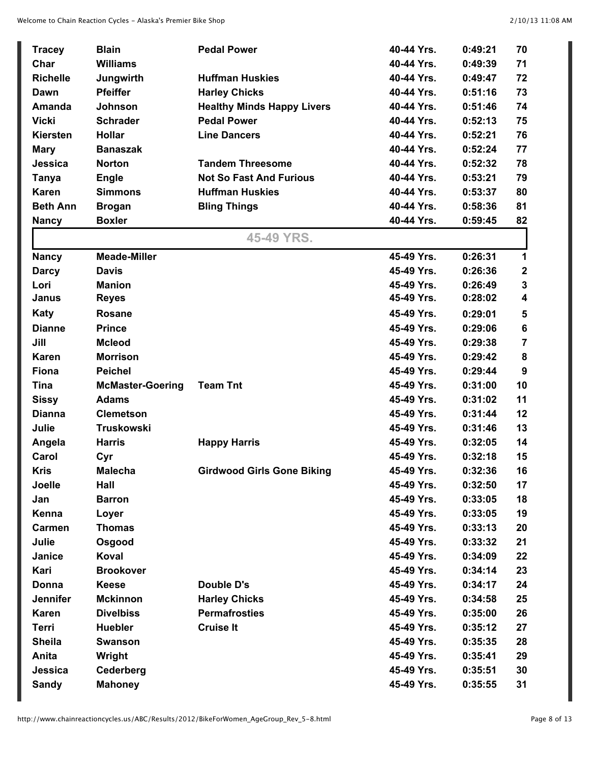| <b>Tracey</b>   | <b>Blain</b>            | <b>Pedal Power</b>                | 40-44 Yrs. | 0:49:21 | 70             |
|-----------------|-------------------------|-----------------------------------|------------|---------|----------------|
| Char            | <b>Williams</b>         |                                   | 40-44 Yrs. | 0:49:39 | 71             |
| <b>Richelle</b> | Jungwirth               | <b>Huffman Huskies</b>            | 40-44 Yrs. | 0:49:47 | 72             |
| Dawn            | <b>Pfeiffer</b>         | <b>Harley Chicks</b>              | 40-44 Yrs. | 0:51:16 | 73             |
| <b>Amanda</b>   | Johnson                 | <b>Healthy Minds Happy Livers</b> | 40-44 Yrs. | 0:51:46 | 74             |
| <b>Vicki</b>    | <b>Schrader</b>         | <b>Pedal Power</b>                | 40-44 Yrs. | 0:52:13 | 75             |
| <b>Kiersten</b> | <b>Hollar</b>           | <b>Line Dancers</b>               | 40-44 Yrs. | 0:52:21 | 76             |
| <b>Mary</b>     | <b>Banaszak</b>         |                                   | 40-44 Yrs. | 0:52:24 | 77             |
| Jessica         | <b>Norton</b>           | <b>Tandem Threesome</b>           | 40-44 Yrs. | 0:52:32 | 78             |
| <b>Tanya</b>    | <b>Engle</b>            | <b>Not So Fast And Furious</b>    | 40-44 Yrs. | 0:53:21 | 79             |
| <b>Karen</b>    | <b>Simmons</b>          | <b>Huffman Huskies</b>            | 40-44 Yrs. | 0:53:37 | 80             |
| <b>Beth Ann</b> | <b>Brogan</b>           | <b>Bling Things</b>               | 40-44 Yrs. | 0:58:36 | 81             |
| <b>Nancy</b>    | <b>Boxler</b>           |                                   | 40-44 Yrs. | 0:59:45 | 82             |
|                 |                         | 45-49 YRS.                        |            |         |                |
| <b>Nancy</b>    | <b>Meade-Miller</b>     |                                   | 45-49 Yrs. | 0:26:31 | 1              |
| <b>Darcy</b>    | <b>Davis</b>            |                                   | 45-49 Yrs. | 0:26:36 | $\mathbf 2$    |
| Lori            | <b>Manion</b>           |                                   | 45-49 Yrs. | 0:26:49 | 3              |
| Janus           | <b>Reyes</b>            |                                   | 45-49 Yrs. | 0:28:02 | 4              |
| <b>Katy</b>     | <b>Rosane</b>           |                                   | 45-49 Yrs. | 0:29:01 | 5              |
| <b>Dianne</b>   | <b>Prince</b>           |                                   | 45-49 Yrs. | 0:29:06 | 6              |
| Jill            | <b>Mcleod</b>           |                                   | 45-49 Yrs. | 0:29:38 | $\overline{7}$ |
| Karen           | <b>Morrison</b>         |                                   | 45-49 Yrs. | 0:29:42 | 8              |
| <b>Fiona</b>    | <b>Peichel</b>          |                                   | 45-49 Yrs. | 0:29:44 | 9              |
| <b>Tina</b>     | <b>McMaster-Goering</b> | <b>Team Tnt</b>                   | 45-49 Yrs. | 0:31:00 | 10             |
| <b>Sissy</b>    | <b>Adams</b>            |                                   | 45-49 Yrs. | 0:31:02 | 11             |
| <b>Dianna</b>   | <b>Clemetson</b>        |                                   | 45-49 Yrs. | 0:31:44 | 12             |
| Julie           | Truskowski              |                                   | 45-49 Yrs. | 0:31:46 | 13             |
| Angela          | <b>Harris</b>           | <b>Happy Harris</b>               | 45-49 Yrs. | 0:32:05 | 14             |
| Carol           | Cyr                     |                                   | 45-49 Yrs. | 0:32:18 | 15             |
| <b>Kris</b>     | Malecha                 | <b>Girdwood Girls Gone Biking</b> | 45-49 Yrs. | 0:32:36 | 16             |
| Joelle          | Hall                    |                                   | 45-49 Yrs. | 0:32:50 | 17             |
| Jan             | <b>Barron</b>           |                                   | 45-49 Yrs. | 0:33:05 | 18             |
| Kenna           | Loyer                   |                                   | 45-49 Yrs. | 0:33:05 | 19             |
| <b>Carmen</b>   | <b>Thomas</b>           |                                   | 45-49 Yrs. | 0:33:13 | 20             |
| Julie           | Osgood                  |                                   | 45-49 Yrs. | 0:33:32 | 21             |
| Janice          | Koval                   |                                   | 45-49 Yrs. | 0:34:09 | 22             |
| Kari            | <b>Brookover</b>        |                                   | 45-49 Yrs. | 0:34:14 | 23             |
| Donna           | <b>Keese</b>            | <b>Double D's</b>                 | 45-49 Yrs. | 0:34:17 | 24             |
| <b>Jennifer</b> | <b>Mckinnon</b>         | <b>Harley Chicks</b>              | 45-49 Yrs. | 0:34:58 | 25             |
| <b>Karen</b>    | <b>Divelbiss</b>        | <b>Permafrosties</b>              | 45-49 Yrs. | 0:35:00 | 26             |
| <b>Terri</b>    | <b>Huebler</b>          | <b>Cruise It</b>                  | 45-49 Yrs. | 0:35:12 | 27             |
| <b>Sheila</b>   | <b>Swanson</b>          |                                   | 45-49 Yrs. | 0:35:35 | 28             |
| Anita           | Wright                  |                                   | 45-49 Yrs. | 0:35:41 | 29             |
| Jessica         | Cederberg               |                                   | 45-49 Yrs. | 0:35:51 | 30             |
| <b>Sandy</b>    | <b>Mahoney</b>          |                                   | 45-49 Yrs. | 0:35:55 | 31             |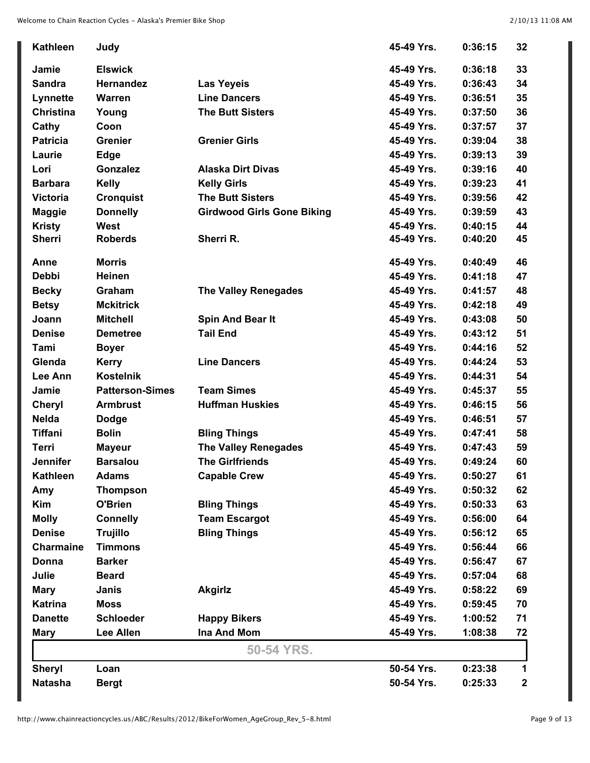| <b>Kathleen</b>  | Judy                   |                                   | 45-49 Yrs. | 0:36:15 | 32               |
|------------------|------------------------|-----------------------------------|------------|---------|------------------|
| Jamie            | <b>Elswick</b>         |                                   | 45-49 Yrs. | 0:36:18 | 33               |
| <b>Sandra</b>    | <b>Hernandez</b>       | <b>Las Yeyeis</b>                 | 45-49 Yrs. | 0:36:43 | 34               |
| Lynnette         | <b>Warren</b>          | <b>Line Dancers</b>               | 45-49 Yrs. | 0:36:51 | 35               |
| <b>Christina</b> | Young                  | <b>The Butt Sisters</b>           | 45-49 Yrs. | 0:37:50 | 36               |
| Cathy            | Coon                   |                                   | 45-49 Yrs. | 0:37:57 | 37               |
| <b>Patricia</b>  | <b>Grenier</b>         | <b>Grenier Girls</b>              | 45-49 Yrs. | 0:39:04 | 38               |
| Laurie           | <b>Edge</b>            |                                   | 45-49 Yrs. | 0:39:13 | 39               |
| Lori             | Gonzalez               | <b>Alaska Dirt Divas</b>          | 45-49 Yrs. | 0:39:16 | 40               |
| <b>Barbara</b>   | <b>Kelly</b>           | <b>Kelly Girls</b>                | 45-49 Yrs. | 0:39:23 | 41               |
| <b>Victoria</b>  | <b>Cronquist</b>       | <b>The Butt Sisters</b>           | 45-49 Yrs. | 0:39:56 | 42               |
| <b>Maggie</b>    | <b>Donnelly</b>        | <b>Girdwood Girls Gone Biking</b> | 45-49 Yrs. | 0:39:59 | 43               |
| <b>Kristy</b>    | West                   |                                   | 45-49 Yrs. | 0:40:15 | 44               |
| <b>Sherri</b>    | <b>Roberds</b>         | Sherri R.                         | 45-49 Yrs. | 0:40:20 | 45               |
| Anne             | <b>Morris</b>          |                                   | 45-49 Yrs. | 0:40:49 | 46               |
| <b>Debbi</b>     | <b>Heinen</b>          |                                   | 45-49 Yrs. | 0:41:18 | 47               |
| <b>Becky</b>     | Graham                 | <b>The Valley Renegades</b>       | 45-49 Yrs. | 0:41:57 | 48               |
| <b>Betsy</b>     | <b>Mckitrick</b>       |                                   | 45-49 Yrs. | 0:42:18 | 49               |
| Joann            | <b>Mitchell</b>        | Spin And Bear It                  | 45-49 Yrs. | 0:43:08 | 50               |
| <b>Denise</b>    | <b>Demetree</b>        | <b>Tail End</b>                   | 45-49 Yrs. | 0:43:12 | 51               |
| Tami             | <b>Boyer</b>           |                                   | 45-49 Yrs. | 0:44:16 | 52               |
| Glenda           | <b>Kerry</b>           | <b>Line Dancers</b>               | 45-49 Yrs. | 0:44:24 | 53               |
| Lee Ann          | <b>Kostelnik</b>       |                                   | 45-49 Yrs. | 0:44:31 | 54               |
| Jamie            | <b>Patterson-Simes</b> | <b>Team Simes</b>                 | 45-49 Yrs. | 0:45:37 | 55               |
| <b>Cheryl</b>    | <b>Armbrust</b>        | <b>Huffman Huskies</b>            | 45-49 Yrs. | 0:46:15 | 56               |
| <b>Nelda</b>     | <b>Dodge</b>           |                                   | 45-49 Yrs. | 0:46:51 | 57               |
| <b>Tiffani</b>   | <b>Bolin</b>           | <b>Bling Things</b>               | 45-49 Yrs. | 0:47:41 | 58               |
| Terri            | <b>Mayeur</b>          | <b>The Valley Renegades</b>       | 45-49 Yrs. | 0:47:43 | 59               |
| <b>Jennifer</b>  | <b>Barsalou</b>        | <b>The Girlfriends</b>            | 45-49 Yrs. | 0:49:24 | 60               |
| <b>Kathleen</b>  | <b>Adams</b>           | <b>Capable Crew</b>               | 45-49 Yrs. | 0:50:27 | 61               |
| Amy              | <b>Thompson</b>        |                                   | 45-49 Yrs. | 0:50:32 | 62               |
| Kim              | O'Brien                | <b>Bling Things</b>               | 45-49 Yrs. | 0:50:33 | 63               |
| <b>Molly</b>     | <b>Connelly</b>        | <b>Team Escargot</b>              | 45-49 Yrs. | 0:56:00 | 64               |
| <b>Denise</b>    | <b>Trujillo</b>        | <b>Bling Things</b>               | 45-49 Yrs. | 0:56:12 | 65               |
| <b>Charmaine</b> | <b>Timmons</b>         |                                   | 45-49 Yrs. | 0:56:44 | 66               |
| Donna            | <b>Barker</b>          |                                   | 45-49 Yrs. | 0:56:47 | 67               |
| Julie            | <b>Beard</b>           |                                   | 45-49 Yrs. | 0:57:04 | 68               |
| <b>Mary</b>      | <b>Janis</b>           | <b>Akgirlz</b>                    | 45-49 Yrs. | 0:58:22 | 69               |
| <b>Katrina</b>   | <b>Moss</b>            |                                   | 45-49 Yrs. | 0:59:45 | 70               |
| <b>Danette</b>   | <b>Schloeder</b>       | <b>Happy Bikers</b>               | 45-49 Yrs. | 1:00:52 | 71               |
| <b>Mary</b>      | <b>Lee Allen</b>       | <b>Ina And Mom</b>                | 45-49 Yrs. | 1:08:38 | 72               |
|                  |                        | 50-54 YRS.                        |            |         |                  |
| <b>Sheryl</b>    | Loan                   |                                   | 50-54 Yrs. | 0:23:38 | 1                |
| <b>Natasha</b>   | <b>Bergt</b>           |                                   | 50-54 Yrs. | 0:25:33 | $\boldsymbol{2}$ |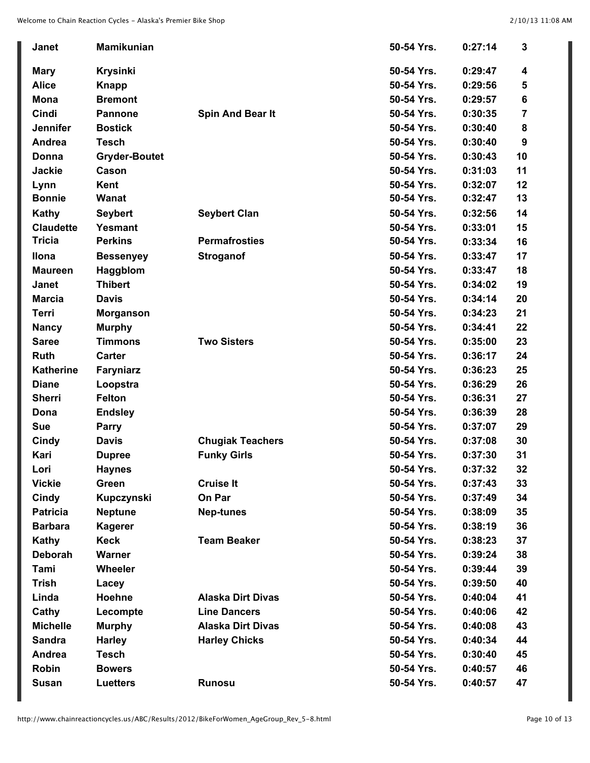| Janet            | <b>Mamikunian</b>    |                          | 50-54 Yrs. | 0:27:14 | 3  |
|------------------|----------------------|--------------------------|------------|---------|----|
| <b>Mary</b>      | <b>Krysinki</b>      |                          | 50-54 Yrs. | 0:29:47 | 4  |
| <b>Alice</b>     | <b>Knapp</b>         |                          | 50-54 Yrs. | 0:29:56 | 5  |
| <b>Mona</b>      | <b>Bremont</b>       |                          | 50-54 Yrs. | 0:29:57 | 6  |
| Cindi            | <b>Pannone</b>       | <b>Spin And Bear It</b>  | 50-54 Yrs. | 0:30:35 | 7  |
| <b>Jennifer</b>  | <b>Bostick</b>       |                          | 50-54 Yrs. | 0:30:40 | 8  |
| Andrea           | <b>Tesch</b>         |                          | 50-54 Yrs. | 0:30:40 | 9  |
| Donna            | <b>Gryder-Boutet</b> |                          | 50-54 Yrs. | 0:30:43 | 10 |
| <b>Jackie</b>    | Cason                |                          | 50-54 Yrs. | 0:31:03 | 11 |
| Lynn             | Kent                 |                          | 50-54 Yrs. | 0:32:07 | 12 |
| <b>Bonnie</b>    | Wanat                |                          | 50-54 Yrs. | 0:32:47 | 13 |
| <b>Kathy</b>     | <b>Seybert</b>       | <b>Seybert Clan</b>      | 50-54 Yrs. | 0:32:56 | 14 |
| <b>Claudette</b> | Yesmant              |                          | 50-54 Yrs. | 0:33:01 | 15 |
| <b>Tricia</b>    | <b>Perkins</b>       | <b>Permafrosties</b>     | 50-54 Yrs. | 0:33:34 | 16 |
| <b>Ilona</b>     | <b>Bessenyey</b>     | <b>Stroganof</b>         | 50-54 Yrs. | 0:33:47 | 17 |
| <b>Maureen</b>   | Haggblom             |                          | 50-54 Yrs. | 0:33:47 | 18 |
| <b>Janet</b>     | <b>Thibert</b>       |                          | 50-54 Yrs. | 0:34:02 | 19 |
| <b>Marcia</b>    | <b>Davis</b>         |                          | 50-54 Yrs. | 0:34:14 | 20 |
| <b>Terri</b>     | <b>Morganson</b>     |                          | 50-54 Yrs. | 0:34:23 | 21 |
| <b>Nancy</b>     | <b>Murphy</b>        |                          | 50-54 Yrs. | 0:34:41 | 22 |
| <b>Saree</b>     | <b>Timmons</b>       | <b>Two Sisters</b>       | 50-54 Yrs. | 0:35:00 | 23 |
| <b>Ruth</b>      | <b>Carter</b>        |                          | 50-54 Yrs. | 0:36:17 | 24 |
| <b>Katherine</b> | <b>Faryniarz</b>     |                          | 50-54 Yrs. | 0:36:23 | 25 |
| <b>Diane</b>     | Loopstra             |                          | 50-54 Yrs. | 0:36:29 | 26 |
| <b>Sherri</b>    | <b>Felton</b>        |                          | 50-54 Yrs. | 0:36:31 | 27 |
| Dona             | <b>Endsley</b>       |                          | 50-54 Yrs. | 0:36:39 | 28 |
| <b>Sue</b>       | <b>Parry</b>         |                          | 50-54 Yrs. | 0:37:07 | 29 |
| <b>Cindy</b>     | <b>Davis</b>         | <b>Chugiak Teachers</b>  | 50-54 Yrs. | 0:37:08 | 30 |
| Kari             | <b>Dupree</b>        | <b>Funky Girls</b>       | 50-54 Yrs. | 0:37:30 | 31 |
| Lori             | <b>Haynes</b>        |                          | 50-54 Yrs. | 0:37:32 | 32 |
| <b>Vickie</b>    | Green                | <b>Cruise It</b>         | 50-54 Yrs. | 0:37:43 | 33 |
| <b>Cindy</b>     | Kupczynski           | On Par                   | 50-54 Yrs. | 0:37:49 | 34 |
| <b>Patricia</b>  | <b>Neptune</b>       | <b>Nep-tunes</b>         | 50-54 Yrs. | 0:38:09 | 35 |
| <b>Barbara</b>   | <b>Kagerer</b>       |                          | 50-54 Yrs. | 0:38:19 | 36 |
| Kathy            | <b>Keck</b>          | <b>Team Beaker</b>       | 50-54 Yrs. | 0:38:23 | 37 |
| <b>Deborah</b>   | Warner               |                          | 50-54 Yrs. | 0:39:24 | 38 |
| Tami             | Wheeler              |                          | 50-54 Yrs. | 0:39:44 | 39 |
| <b>Trish</b>     | Lacey                |                          | 50-54 Yrs. | 0:39:50 | 40 |
| Linda            | Hoehne               | <b>Alaska Dirt Divas</b> | 50-54 Yrs. | 0:40:04 | 41 |
| Cathy            | Lecompte             | <b>Line Dancers</b>      | 50-54 Yrs. | 0:40:06 | 42 |
| <b>Michelle</b>  | <b>Murphy</b>        | <b>Alaska Dirt Divas</b> | 50-54 Yrs. | 0:40:08 | 43 |
| <b>Sandra</b>    | <b>Harley</b>        | <b>Harley Chicks</b>     | 50-54 Yrs. | 0:40:34 | 44 |
| Andrea           | <b>Tesch</b>         |                          | 50-54 Yrs. | 0:30:40 | 45 |
| Robin            | <b>Bowers</b>        |                          | 50-54 Yrs. | 0:40:57 | 46 |
| <b>Susan</b>     | <b>Luetters</b>      | Runosu                   | 50-54 Yrs. | 0:40:57 | 47 |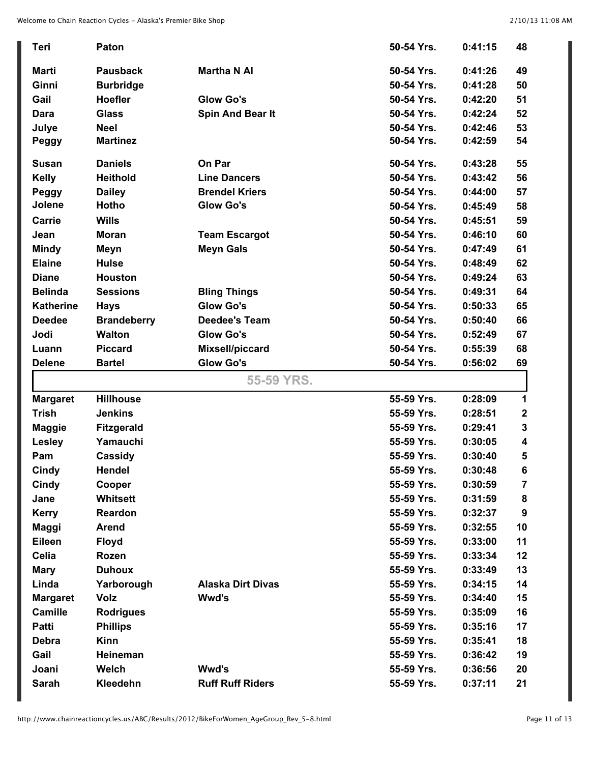| <b>Teri</b>      | Paton              |                          | 50-54 Yrs. | 0:41:15 | 48          |
|------------------|--------------------|--------------------------|------------|---------|-------------|
| Marti            | <b>Pausback</b>    | <b>Martha N AI</b>       | 50-54 Yrs. | 0:41:26 | 49          |
| Ginni            | <b>Burbridge</b>   |                          | 50-54 Yrs. | 0:41:28 | 50          |
| Gail             | <b>Hoefler</b>     | <b>Glow Go's</b>         | 50-54 Yrs. | 0:42:20 | 51          |
| Dara             | <b>Glass</b>       | Spin And Bear It         | 50-54 Yrs. | 0:42:24 | 52          |
| Julye            | <b>Neel</b>        |                          | 50-54 Yrs. | 0:42:46 | 53          |
| Peggy            | <b>Martinez</b>    |                          | 50-54 Yrs. | 0:42:59 | 54          |
| <b>Susan</b>     | <b>Daniels</b>     | On Par                   | 50-54 Yrs. | 0:43:28 | 55          |
| <b>Kelly</b>     | <b>Heithold</b>    | <b>Line Dancers</b>      | 50-54 Yrs. | 0:43:42 | 56          |
| Peggy            | <b>Dailey</b>      | <b>Brendel Kriers</b>    | 50-54 Yrs. | 0:44:00 | 57          |
| Jolene           | <b>Hotho</b>       | <b>Glow Go's</b>         | 50-54 Yrs. | 0:45:49 | 58          |
| Carrie           | <b>Wills</b>       |                          | 50-54 Yrs. | 0:45:51 | 59          |
| Jean             | <b>Moran</b>       | <b>Team Escargot</b>     | 50-54 Yrs. | 0:46:10 | 60          |
| <b>Mindy</b>     | Meyn               | <b>Meyn Gals</b>         | 50-54 Yrs. | 0:47:49 | 61          |
| <b>Elaine</b>    | <b>Hulse</b>       |                          | 50-54 Yrs. | 0:48:49 | 62          |
| <b>Diane</b>     | <b>Houston</b>     |                          | 50-54 Yrs. | 0:49:24 | 63          |
| <b>Belinda</b>   | <b>Sessions</b>    | <b>Bling Things</b>      | 50-54 Yrs. | 0:49:31 | 64          |
| <b>Katherine</b> | <b>Hays</b>        | <b>Glow Go's</b>         | 50-54 Yrs. | 0:50:33 | 65          |
| <b>Deedee</b>    | <b>Brandeberry</b> | <b>Deedee's Team</b>     | 50-54 Yrs. | 0:50:40 | 66          |
| Jodi             | <b>Walton</b>      | <b>Glow Go's</b>         | 50-54 Yrs. | 0:52:49 | 67          |
| Luann            | <b>Piccard</b>     | Mixsell/piccard          | 50-54 Yrs. | 0:55:39 | 68          |
| <b>Delene</b>    | <b>Bartel</b>      | <b>Glow Go's</b>         | 50-54 Yrs. | 0:56:02 | 69          |
|                  |                    |                          |            |         |             |
|                  |                    | 55-59 YRS.               |            |         |             |
| <b>Margaret</b>  | <b>Hillhouse</b>   |                          | 55-59 Yrs. | 0:28:09 | 1           |
| <b>Trish</b>     | <b>Jenkins</b>     |                          | 55-59 Yrs. | 0:28:51 | $\mathbf 2$ |
| <b>Maggie</b>    | <b>Fitzgerald</b>  |                          | 55-59 Yrs. | 0:29:41 | $\mathbf 3$ |
| Lesley           | Yamauchi           |                          | 55-59 Yrs. | 0:30:05 | 4           |
| Pam              | Cassidy            |                          | 55-59 Yrs. | 0:30:40 | 5           |
| <b>Cindy</b>     | Hendel             |                          | 55-59 Yrs  | 0:30:48 | 6           |
| Cindy            | Cooper             |                          | 55-59 Yrs. | 0:30:59 | 7           |
| Jane             | Whitsett           |                          | 55-59 Yrs. | 0:31:59 | 8           |
| <b>Kerry</b>     | Reardon            |                          | 55-59 Yrs. | 0:32:37 | 9           |
| Maggi            | <b>Arend</b>       |                          | 55-59 Yrs. | 0:32:55 | 10          |
| Eileen           | <b>Floyd</b>       |                          | 55-59 Yrs. | 0:33:00 | 11          |
| Celia            | Rozen              |                          | 55-59 Yrs. | 0:33:34 | 12          |
| <b>Mary</b>      | <b>Duhoux</b>      |                          | 55-59 Yrs. | 0:33:49 | 13          |
| Linda            | Yarborough         | <b>Alaska Dirt Divas</b> | 55-59 Yrs. | 0:34:15 | 14          |
| <b>Margaret</b>  | Volz               | Wwd's                    | 55-59 Yrs. | 0:34:40 | 15          |
| <b>Camille</b>   | <b>Rodrigues</b>   |                          | 55-59 Yrs. | 0:35:09 | 16          |
| <b>Patti</b>     | <b>Phillips</b>    |                          | 55-59 Yrs. | 0:35:16 | 17          |
| <b>Debra</b>     | <b>Kinn</b>        |                          | 55-59 Yrs. | 0:35:41 | 18          |
| Gail             | Heineman           |                          | 55-59 Yrs. | 0:36:42 | 19          |
| Joani            | Welch              | Wwd's                    | 55-59 Yrs. | 0:36:56 | 20          |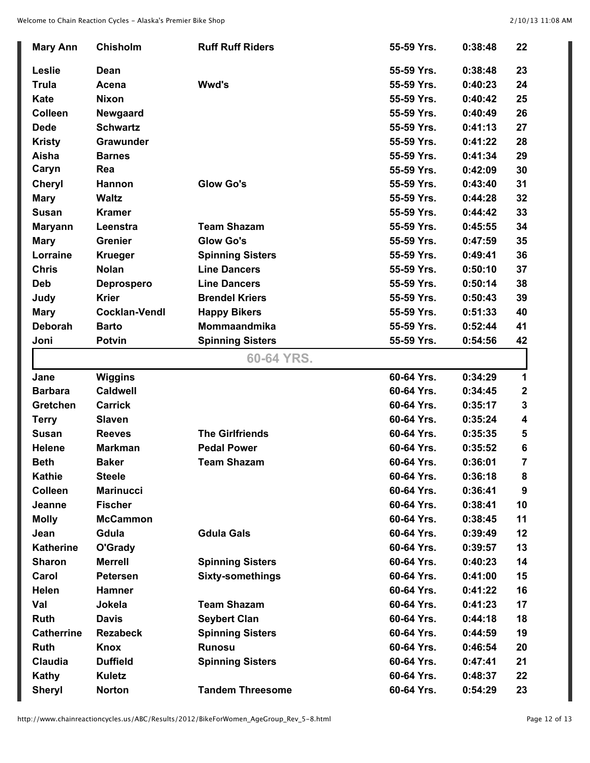| <b>Chisholm</b><br><b>Ruff Ruff Riders</b><br>55-59 Yrs.<br><b>Mary Ann</b><br>0:38:48<br>Leslie<br>55-59 Yrs.<br>0:38:48<br>Dean<br><b>Trula</b><br>Wwd's<br>55-59 Yrs.<br>0:40:23<br>Acena<br>Kate<br>55-59 Yrs.<br>0:40:42<br><b>Nixon</b><br><b>Colleen</b><br>55-59 Yrs.<br>0:40:49<br>Newgaard<br><b>Dede</b><br><b>Schwartz</b><br>55-59 Yrs.<br>0:41:13<br>Grawunder<br>55-59 Yrs.<br>0:41:22<br><b>Kristy</b><br>Aisha<br>55-59 Yrs.<br>0:41:34<br><b>Barnes</b><br>Caryn<br>Rea<br>55-59 Yrs.<br>0:42:09<br><b>Glow Go's</b><br>55-59 Yrs.<br>0:43:40<br><b>Cheryl</b><br>Hannon<br><b>Waltz</b><br>55-59 Yrs.<br><b>Mary</b><br>0:44:28<br><b>Susan</b><br><b>Kramer</b><br>55-59 Yrs.<br>0:44:42<br><b>Team Shazam</b><br>55-59 Yrs.<br>0:45:55<br>Leenstra<br><b>Maryann</b><br><b>Glow Go's</b><br><b>Grenier</b><br>55-59 Yrs.<br>0:47:59<br><b>Mary</b><br>Lorraine<br><b>Krueger</b><br><b>Spinning Sisters</b><br>55-59 Yrs.<br>0:49:41<br><b>Chris</b><br><b>Nolan</b><br><b>Line Dancers</b><br>55-59 Yrs.<br>0:50:10<br>55-59 Yrs.<br>0:50:14<br><b>Deb</b><br><b>Line Dancers</b><br><b>Deprospero</b><br><b>Krier</b><br><b>Brendel Kriers</b><br>55-59 Yrs.<br>0:50:43<br>Judy<br><b>Cocklan-Vendl</b><br>55-59 Yrs.<br><b>Mary</b><br><b>Happy Bikers</b><br>0:51:33<br><b>Deborah</b><br><b>Barto</b><br><b>Mommaandmika</b><br>55-59 Yrs.<br>0:52:44<br>55-59 Yrs.<br><b>Potvin</b><br><b>Spinning Sisters</b><br>Joni<br>0:54:56<br>60-64 YRS.<br><b>Wiggins</b><br>60-64 Yrs.<br>0:34:29<br>Jane<br><b>Caldwell</b> |                   |               |                         |            |         | 22               |
|--------------------------------------------------------------------------------------------------------------------------------------------------------------------------------------------------------------------------------------------------------------------------------------------------------------------------------------------------------------------------------------------------------------------------------------------------------------------------------------------------------------------------------------------------------------------------------------------------------------------------------------------------------------------------------------------------------------------------------------------------------------------------------------------------------------------------------------------------------------------------------------------------------------------------------------------------------------------------------------------------------------------------------------------------------------------------------------------------------------------------------------------------------------------------------------------------------------------------------------------------------------------------------------------------------------------------------------------------------------------------------------------------------------------------------------------------------------------------------------------------------------------------------------------------|-------------------|---------------|-------------------------|------------|---------|------------------|
|                                                                                                                                                                                                                                                                                                                                                                                                                                                                                                                                                                                                                                                                                                                                                                                                                                                                                                                                                                                                                                                                                                                                                                                                                                                                                                                                                                                                                                                                                                                                                  |                   |               |                         |            |         |                  |
|                                                                                                                                                                                                                                                                                                                                                                                                                                                                                                                                                                                                                                                                                                                                                                                                                                                                                                                                                                                                                                                                                                                                                                                                                                                                                                                                                                                                                                                                                                                                                  |                   |               |                         |            |         | 23               |
|                                                                                                                                                                                                                                                                                                                                                                                                                                                                                                                                                                                                                                                                                                                                                                                                                                                                                                                                                                                                                                                                                                                                                                                                                                                                                                                                                                                                                                                                                                                                                  |                   |               |                         |            |         | 24               |
|                                                                                                                                                                                                                                                                                                                                                                                                                                                                                                                                                                                                                                                                                                                                                                                                                                                                                                                                                                                                                                                                                                                                                                                                                                                                                                                                                                                                                                                                                                                                                  |                   |               |                         |            |         | 25               |
|                                                                                                                                                                                                                                                                                                                                                                                                                                                                                                                                                                                                                                                                                                                                                                                                                                                                                                                                                                                                                                                                                                                                                                                                                                                                                                                                                                                                                                                                                                                                                  |                   |               |                         |            |         | 26               |
|                                                                                                                                                                                                                                                                                                                                                                                                                                                                                                                                                                                                                                                                                                                                                                                                                                                                                                                                                                                                                                                                                                                                                                                                                                                                                                                                                                                                                                                                                                                                                  |                   |               |                         |            |         | 27               |
|                                                                                                                                                                                                                                                                                                                                                                                                                                                                                                                                                                                                                                                                                                                                                                                                                                                                                                                                                                                                                                                                                                                                                                                                                                                                                                                                                                                                                                                                                                                                                  |                   |               |                         |            |         | 28               |
|                                                                                                                                                                                                                                                                                                                                                                                                                                                                                                                                                                                                                                                                                                                                                                                                                                                                                                                                                                                                                                                                                                                                                                                                                                                                                                                                                                                                                                                                                                                                                  |                   |               |                         |            |         | 29               |
|                                                                                                                                                                                                                                                                                                                                                                                                                                                                                                                                                                                                                                                                                                                                                                                                                                                                                                                                                                                                                                                                                                                                                                                                                                                                                                                                                                                                                                                                                                                                                  |                   |               |                         |            |         | 30               |
|                                                                                                                                                                                                                                                                                                                                                                                                                                                                                                                                                                                                                                                                                                                                                                                                                                                                                                                                                                                                                                                                                                                                                                                                                                                                                                                                                                                                                                                                                                                                                  |                   |               |                         |            |         | 31               |
|                                                                                                                                                                                                                                                                                                                                                                                                                                                                                                                                                                                                                                                                                                                                                                                                                                                                                                                                                                                                                                                                                                                                                                                                                                                                                                                                                                                                                                                                                                                                                  |                   |               |                         |            |         | 32               |
|                                                                                                                                                                                                                                                                                                                                                                                                                                                                                                                                                                                                                                                                                                                                                                                                                                                                                                                                                                                                                                                                                                                                                                                                                                                                                                                                                                                                                                                                                                                                                  |                   |               |                         |            |         | 33               |
|                                                                                                                                                                                                                                                                                                                                                                                                                                                                                                                                                                                                                                                                                                                                                                                                                                                                                                                                                                                                                                                                                                                                                                                                                                                                                                                                                                                                                                                                                                                                                  |                   |               |                         |            |         | 34               |
|                                                                                                                                                                                                                                                                                                                                                                                                                                                                                                                                                                                                                                                                                                                                                                                                                                                                                                                                                                                                                                                                                                                                                                                                                                                                                                                                                                                                                                                                                                                                                  |                   |               |                         |            |         | 35               |
|                                                                                                                                                                                                                                                                                                                                                                                                                                                                                                                                                                                                                                                                                                                                                                                                                                                                                                                                                                                                                                                                                                                                                                                                                                                                                                                                                                                                                                                                                                                                                  |                   |               |                         |            |         | 36               |
|                                                                                                                                                                                                                                                                                                                                                                                                                                                                                                                                                                                                                                                                                                                                                                                                                                                                                                                                                                                                                                                                                                                                                                                                                                                                                                                                                                                                                                                                                                                                                  |                   |               |                         |            |         | 37               |
|                                                                                                                                                                                                                                                                                                                                                                                                                                                                                                                                                                                                                                                                                                                                                                                                                                                                                                                                                                                                                                                                                                                                                                                                                                                                                                                                                                                                                                                                                                                                                  |                   |               |                         |            |         | 38               |
|                                                                                                                                                                                                                                                                                                                                                                                                                                                                                                                                                                                                                                                                                                                                                                                                                                                                                                                                                                                                                                                                                                                                                                                                                                                                                                                                                                                                                                                                                                                                                  |                   |               |                         |            |         | 39               |
|                                                                                                                                                                                                                                                                                                                                                                                                                                                                                                                                                                                                                                                                                                                                                                                                                                                                                                                                                                                                                                                                                                                                                                                                                                                                                                                                                                                                                                                                                                                                                  |                   |               |                         |            |         | 40               |
|                                                                                                                                                                                                                                                                                                                                                                                                                                                                                                                                                                                                                                                                                                                                                                                                                                                                                                                                                                                                                                                                                                                                                                                                                                                                                                                                                                                                                                                                                                                                                  |                   |               |                         |            |         | 41               |
|                                                                                                                                                                                                                                                                                                                                                                                                                                                                                                                                                                                                                                                                                                                                                                                                                                                                                                                                                                                                                                                                                                                                                                                                                                                                                                                                                                                                                                                                                                                                                  |                   |               |                         |            |         | 42               |
|                                                                                                                                                                                                                                                                                                                                                                                                                                                                                                                                                                                                                                                                                                                                                                                                                                                                                                                                                                                                                                                                                                                                                                                                                                                                                                                                                                                                                                                                                                                                                  |                   |               |                         |            |         |                  |
|                                                                                                                                                                                                                                                                                                                                                                                                                                                                                                                                                                                                                                                                                                                                                                                                                                                                                                                                                                                                                                                                                                                                                                                                                                                                                                                                                                                                                                                                                                                                                  |                   |               |                         |            |         | 1                |
|                                                                                                                                                                                                                                                                                                                                                                                                                                                                                                                                                                                                                                                                                                                                                                                                                                                                                                                                                                                                                                                                                                                                                                                                                                                                                                                                                                                                                                                                                                                                                  | <b>Barbara</b>    |               |                         | 60-64 Yrs. | 0:34:45 | $\boldsymbol{2}$ |
| <b>Carrick</b><br>60-64 Yrs.<br>Gretchen<br>0:35:17                                                                                                                                                                                                                                                                                                                                                                                                                                                                                                                                                                                                                                                                                                                                                                                                                                                                                                                                                                                                                                                                                                                                                                                                                                                                                                                                                                                                                                                                                              |                   |               |                         |            |         | 3                |
| <b>Slaven</b><br>60-64 Yrs.<br>0:35:24<br><b>Terry</b>                                                                                                                                                                                                                                                                                                                                                                                                                                                                                                                                                                                                                                                                                                                                                                                                                                                                                                                                                                                                                                                                                                                                                                                                                                                                                                                                                                                                                                                                                           |                   |               |                         |            |         | 4                |
| <b>Susan</b><br><b>The Girlfriends</b><br>60-64 Yrs.<br><b>Reeves</b><br>0:35:35                                                                                                                                                                                                                                                                                                                                                                                                                                                                                                                                                                                                                                                                                                                                                                                                                                                                                                                                                                                                                                                                                                                                                                                                                                                                                                                                                                                                                                                                 |                   |               |                         |            |         | 5                |
| <b>Helene</b><br><b>Markman</b><br><b>Pedal Power</b><br>60-64 Yrs.<br>0:35:52                                                                                                                                                                                                                                                                                                                                                                                                                                                                                                                                                                                                                                                                                                                                                                                                                                                                                                                                                                                                                                                                                                                                                                                                                                                                                                                                                                                                                                                                   |                   |               |                         |            |         | 6                |
| <b>Team Shazam</b><br>60-64 Yrs.<br><b>Beth</b><br><b>Baker</b><br>0:36:01                                                                                                                                                                                                                                                                                                                                                                                                                                                                                                                                                                                                                                                                                                                                                                                                                                                                                                                                                                                                                                                                                                                                                                                                                                                                                                                                                                                                                                                                       |                   |               |                         |            |         | 7                |
| <b>Kathie</b><br><b>Steele</b><br>60-64 Yrs.<br>0:36:18                                                                                                                                                                                                                                                                                                                                                                                                                                                                                                                                                                                                                                                                                                                                                                                                                                                                                                                                                                                                                                                                                                                                                                                                                                                                                                                                                                                                                                                                                          |                   |               |                         |            |         | 8                |
|                                                                                                                                                                                                                                                                                                                                                                                                                                                                                                                                                                                                                                                                                                                                                                                                                                                                                                                                                                                                                                                                                                                                                                                                                                                                                                                                                                                                                                                                                                                                                  | Colleen           |               |                         | 60-64 Yrs. | 0:36:41 | 9                |
| <b>Marinucci</b>                                                                                                                                                                                                                                                                                                                                                                                                                                                                                                                                                                                                                                                                                                                                                                                                                                                                                                                                                                                                                                                                                                                                                                                                                                                                                                                                                                                                                                                                                                                                 | Jeanne            |               |                         | 60-64 Yrs. | 0:38:41 | 10               |
| <b>Fischer</b>                                                                                                                                                                                                                                                                                                                                                                                                                                                                                                                                                                                                                                                                                                                                                                                                                                                                                                                                                                                                                                                                                                                                                                                                                                                                                                                                                                                                                                                                                                                                   | <b>Molly</b>      |               |                         | 60-64 Yrs. | 0:38:45 | 11               |
| <b>McCammon</b>                                                                                                                                                                                                                                                                                                                                                                                                                                                                                                                                                                                                                                                                                                                                                                                                                                                                                                                                                                                                                                                                                                                                                                                                                                                                                                                                                                                                                                                                                                                                  | Jean              |               | <b>Gdula Gals</b>       | 60-64 Yrs. | 0:39:49 | 12               |
| Gdula                                                                                                                                                                                                                                                                                                                                                                                                                                                                                                                                                                                                                                                                                                                                                                                                                                                                                                                                                                                                                                                                                                                                                                                                                                                                                                                                                                                                                                                                                                                                            | <b>Katherine</b>  |               |                         | 60-64 Yrs. | 0:39:57 | 13               |
| O'Grady                                                                                                                                                                                                                                                                                                                                                                                                                                                                                                                                                                                                                                                                                                                                                                                                                                                                                                                                                                                                                                                                                                                                                                                                                                                                                                                                                                                                                                                                                                                                          | <b>Sharon</b>     |               | <b>Spinning Sisters</b> | 60-64 Yrs. | 0:40:23 | 14               |
| <b>Merrell</b>                                                                                                                                                                                                                                                                                                                                                                                                                                                                                                                                                                                                                                                                                                                                                                                                                                                                                                                                                                                                                                                                                                                                                                                                                                                                                                                                                                                                                                                                                                                                   | Carol             |               | <b>Sixty-somethings</b> | 60-64 Yrs. | 0:41:00 | 15               |
| <b>Petersen</b>                                                                                                                                                                                                                                                                                                                                                                                                                                                                                                                                                                                                                                                                                                                                                                                                                                                                                                                                                                                                                                                                                                                                                                                                                                                                                                                                                                                                                                                                                                                                  | Helen             |               |                         | 60-64 Yrs. | 0:41:22 | 16               |
| <b>Hamner</b>                                                                                                                                                                                                                                                                                                                                                                                                                                                                                                                                                                                                                                                                                                                                                                                                                                                                                                                                                                                                                                                                                                                                                                                                                                                                                                                                                                                                                                                                                                                                    | Val               |               | <b>Team Shazam</b>      | 60-64 Yrs. | 0:41:23 | 17               |
| Jokela                                                                                                                                                                                                                                                                                                                                                                                                                                                                                                                                                                                                                                                                                                                                                                                                                                                                                                                                                                                                                                                                                                                                                                                                                                                                                                                                                                                                                                                                                                                                           |                   |               |                         | 60-64 Yrs. | 0:44:18 | 18               |
|                                                                                                                                                                                                                                                                                                                                                                                                                                                                                                                                                                                                                                                                                                                                                                                                                                                                                                                                                                                                                                                                                                                                                                                                                                                                                                                                                                                                                                                                                                                                                  | <b>Catherrine</b> |               |                         |            |         | 19               |
| Ruth<br><b>Davis</b><br><b>Seybert Clan</b><br><b>Rezabeck</b><br>60-64 Yrs.<br>0:44:59                                                                                                                                                                                                                                                                                                                                                                                                                                                                                                                                                                                                                                                                                                                                                                                                                                                                                                                                                                                                                                                                                                                                                                                                                                                                                                                                                                                                                                                          | <b>Ruth</b>       |               | <b>Runosu</b>           | 60-64 Yrs. | 0:46:54 | 20               |
| <b>Spinning Sisters</b><br><b>Knox</b>                                                                                                                                                                                                                                                                                                                                                                                                                                                                                                                                                                                                                                                                                                                                                                                                                                                                                                                                                                                                                                                                                                                                                                                                                                                                                                                                                                                                                                                                                                           |                   |               |                         |            |         | 21               |
| <b>Claudia</b><br><b>Duffield</b><br>60-64 Yrs.<br>0:47:41                                                                                                                                                                                                                                                                                                                                                                                                                                                                                                                                                                                                                                                                                                                                                                                                                                                                                                                                                                                                                                                                                                                                                                                                                                                                                                                                                                                                                                                                                       |                   |               |                         |            |         | 22               |
| <b>Spinning Sisters</b><br><b>Kathy</b><br><b>Kuletz</b><br>60-64 Yrs.<br>0:48:37                                                                                                                                                                                                                                                                                                                                                                                                                                                                                                                                                                                                                                                                                                                                                                                                                                                                                                                                                                                                                                                                                                                                                                                                                                                                                                                                                                                                                                                                | <b>Sheryl</b>     | <b>Norton</b> | <b>Tandem Threesome</b> | 60-64 Yrs. | 0:54:29 | 23               |